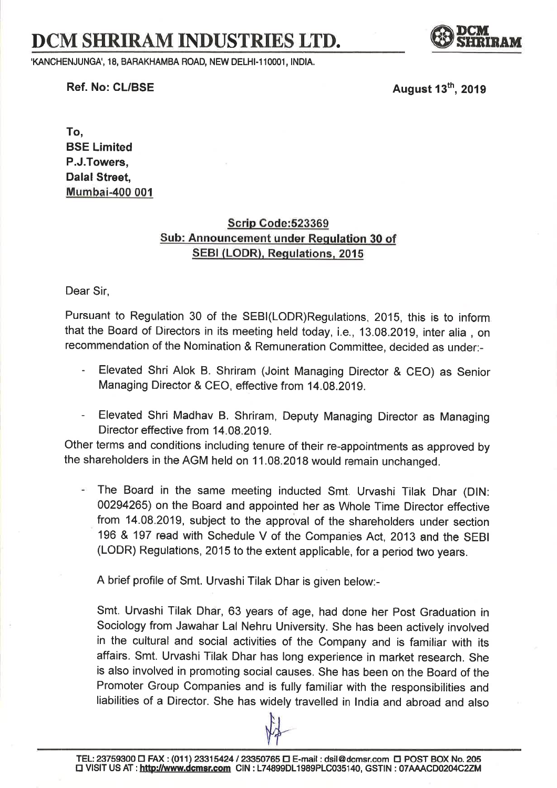## DCM SHRIRAM INDUSTRIES LTD.

'KANCHENJUNGA', 18, BARAKHAMBA ROAD, NEW DELHI-110001, INDIA.

Ref. No: CL/BSE  $\overline{A}$  August 13<sup>th</sup>, 2019

To, BSE Limited P.J.Towers, Dalal Street, Mumbai-400 001

## Scrip Gode:523369 Sub: Announcement under Requlation 30 of SEBI (LODR). Requlations. <sup>2015</sup>

Dear Sir,

Pursuant to Regulation 30 of the SEBI(LODR)Regulations, 2015, this is to inform that the Board of Directors in its meeting held today, i.e., 13.08.2019, inter alia , on recommendation of the Nomination & Remuneration Committee, decided as under:-

- Elevated Shri Alok B. Shriram (Joint Managing Director & CEO) as Senior Managing Director & CEO, effective from 14.08.2019.
- Elevated Shri Madhav B, Shriram, Deputy Managing Director as Managing Director effective from 14.08.2019.

Other terms and conditions including tenure of their re-appointments as approved by the shareholders in the AGM held on 11.08.2018 would remain unchanged.

The Board in the same meeting inducted Smt. Urvashi Tilak Dhar (DlN: 00294265) on the Board and appointed her as Whole Time Director effective from 14.08.2019, subject to the approval of the shareholders under section <sup>196</sup>& 197 read with schedule v of the companies Act, z01g and the SEBI (LODR) Regulations, 2015 to the extent applicable, for a period two years.

A brief profile of Smt. Urvashi Tilak Dhar is given below:-

Smt. Urvashi Tilak Dhar, 63 years of age, had done her post Graduation in Sociology from Jawahar Lal Nehru University. She has been actively involved in the cultural and social activities of the Company and is famitiar with its affairs. Smt. Urvashi Tilak Dhar has long experience in market research. She is also involved in promoting social causes. She has been on the Board of the Promoter Group Companies and is fully familiar with the responsibilities and liabilities of a Director. She has widely travelled in lndia and abroad and also